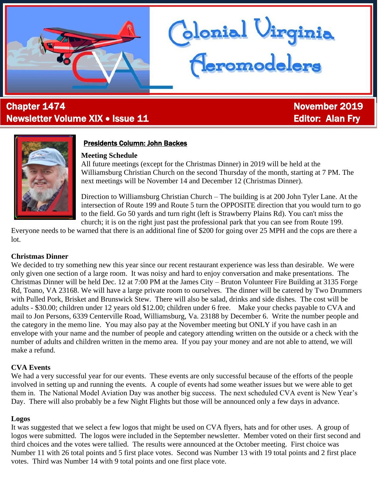# **Chapter 1474** November 2019 Newsletter Volume XIX • Issue 11 Editor: Alan Fry

Ĩ



## Presidents Column: John Backes

## **Meeting Schedule**

All future meetings (except for the Christmas Dinner) in 2019 will be held at the Williamsburg Christian Church on the second Thursday of the month, starting at 7 PM. The next meetings will be November 14 and December 12 (Christmas Dinner).

lonial Virginia<br><mark>Aeromodelers</mark>

Direction to Williamsburg Christian Church – The building is at 200 John Tyler Lane. At the intersection of Route 199 and Route 5 turn the OPPOSITE direction that you would turn to go to the field. Go 50 yards and turn right (left is Strawberry Plains Rd). You can't miss the church; it is on the right just past the professional park that you can see from Route 199.

Everyone needs to be warned that there is an additional fine of \$200 for going over 25 MPH and the cops are there a lot.

## **Christmas Dinner**

We decided to try something new this year since our recent restaurant experience was less than desirable. We were only given one section of a large room. It was noisy and hard to enjoy conversation and make presentations. The Christmas Dinner will be held Dec. 12 at 7:00 PM at the James City – Bruton Volunteer Fire Building at 3135 Forge Rd, Toano, VA 23168. We will have a large private room to ourselves. The dinner will be catered by Two Drummers with Pulled Pork, Brisket and Brunswick Stew. There will also be salad, drinks and side dishes. The cost will be adults - \$30.00; children under 12 years old \$12.00; children under 6 free. Make your checks payable to CVA and mail to Jon Persons, 6339 Centerville Road, Williamsburg, Va. 23188 by December 6. Write the number people and the category in the memo line. You may also pay at the November meeting but ONLY if you have cash in an envelope with your name and the number of people and category attending written on the outside or a check with the number of adults and children written in the memo area. If you pay your money and are not able to attend, we will make a refund.

## **CVA Events**

We had a very successful year for our events. These events are only successful because of the efforts of the people involved in setting up and running the events. A couple of events had some weather issues but we were able to get them in. The National Model Aviation Day was another big success. The next scheduled CVA event is New Year's Day. There will also probably be a few Night Flights but those will be announced only a few days in advance.

## **Logos**

It was suggested that we select a few logos that might be used on CVA flyers, hats and for other uses. A group of logos were submitted. The logos were included in the September newsletter. Member voted on their first second and third choices and the votes were tallied. The results were announced at the October meeting. First choice was Number 11 with 26 total points and 5 first place votes. Second was Number 13 with 19 total points and 2 first place votes. Third was Number 14 with 9 total points and one first place vote.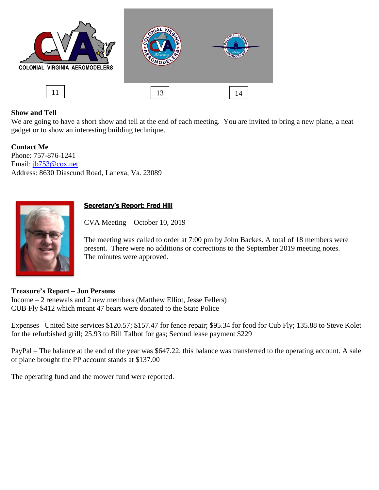

## **Show and Tell**

We are going to have a short show and tell at the end of each meeting. You are invited to bring a new plane, a neat gadget or to show an interesting building technique.

**Contact Me** Phone: 757-876-1241 Email: [jb753@cox.net](mailto:jb753@cox.net) Address: 8630 Diascund Road, Lanexa, Va. 23089



## Secretary's Report: Fred Hill

CVA Meeting – October 10, 2019

The meeting was called to order at 7:00 pm by John Backes. A total of 18 members were present. There were no additions or corrections to the September 2019 meeting notes. The minutes were approved.

### **Treasure's Report – Jon Persons**

Income – 2 renewals and 2 new members (Matthew Elliot, Jesse Fellers) CUB Fly \$412 which meant 47 bears were donated to the State Police

Expenses –United Site services \$120.57; \$157.47 for fence repair; \$95.34 for food for Cub Fly; 135.88 to Steve Kolet for the refurbished grill; 25.93 to Bill Talbot for gas; Second lease payment \$229

PayPal – The balance at the end of the year was \$647.22, this balance was transferred to the operating account. A sale of plane brought the PP account stands at \$137.00

The operating fund and the mower fund were reported.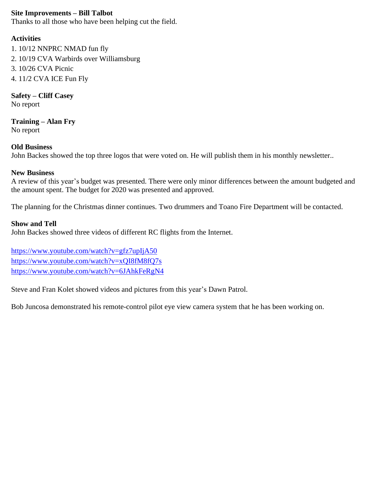## **Site Improvements – Bill Talbot**

Thanks to all those who have been helping cut the field.

## **Activities**

1. 10/12 NNPRC NMAD fun fly 2. 10/19 CVA Warbirds over Williamsburg 3. 10/26 CVA Picnic 4. 11/2 CVA ICE Fun Fly

**Safety – Cliff Casey** No report

**Training – Alan Fry** No report

## **Old Business**

John Backes showed the top three logos that were voted on. He will publish them in his monthly newsletter..

## **New Business**

A review of this year's budget was presented. There were only minor differences between the amount budgeted and the amount spent. The budget for 2020 was presented and approved.

The planning for the Christmas dinner continues. Two drummers and Toano Fire Department will be contacted.

## **Show and Tell**

John Backes showed three videos of different RC flights from the Internet.

<https://www.youtube.com/watch?v=gfz7upIjA50> <https://www.youtube.com/watch?v=xQI8fM8fQ7s> <https://www.youtube.com/watch?v=6JAhkFeRgN4>

Steve and Fran Kolet showed videos and pictures from this year's Dawn Patrol.

Bob Juncosa demonstrated his remote-control pilot eye view camera system that he has been working on.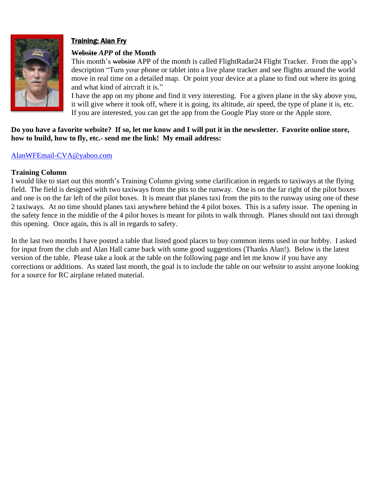

## Training: Alan Fry

#### **Website** *APP* **of the Month**

This month's website APP of the month is called FlightRadar24 Flight Tracker. From the app's description "Turn your phone or tablet into a live plane tracker and see flights around the world move in real time on a detailed map. Or point your device at a plane to find out where its going and what kind of aircraft it is."

I have the app on my phone and find it very interesting. For a given plane in the sky above you, it will give where it took off, where it is going, its altitude, air speed, the type of plane it is, etc. If you are interested, you can get the app from the Google Play store or the Apple store.

#### **Do you have a favorite website? If so, let me know and I will put it in the newsletter. Favorite online store, how to build, how to fly, etc.- send me the link! My email address:**

### [AlanWFEmail-CVA@yahoo.com](mailto:AlanWFEmail-CVA@yahoo.com)

#### **Training Column**

I would like to start out this month's Training Column giving some clarification in regards to taxiways at the flying field. The field is designed with two taxiways from the pits to the runway. One is on the far right of the pilot boxes and one is on the far left of the pilot boxes. It is meant that planes taxi from the pits to the runway using one of these 2 taxiways. At no time should planes taxi anywhere behind the 4 pilot boxes. This is a safety issue. The opening in the safety fence in the middle of the 4 pilot boxes is meant for pilots to walk through. Planes should not taxi through this opening. Once again, this is all in regards to safety.

In the last two months I have posted a table that listed good places to buy common items used in our hobby. I asked for input from the club and Alan Hall came back with some good suggestions (Thanks Alan!). Below is the latest version of the table. Please take a look at the table on the following page and let me know if you have any corrections or additions. As stated last month, the goal is to include the table on our website to assist anyone looking for a source for RC airplane related material.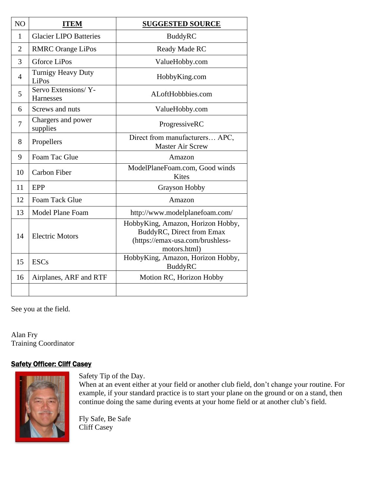| NO             | <b>ITEM</b>                        | <b>SUGGESTED SOURCE</b>                                                                                            |
|----------------|------------------------------------|--------------------------------------------------------------------------------------------------------------------|
| 1              | <b>Glacier LIPO Batteries</b>      | <b>BuddyRC</b>                                                                                                     |
| $\overline{2}$ | <b>RMRC</b> Orange LiPos           | Ready Made RC                                                                                                      |
| 3              | Gforce LiPos                       | ValueHobby.com                                                                                                     |
| $\overline{4}$ | <b>Turnigy Heavy Duty</b><br>LiPos | HobbyKing.com                                                                                                      |
| 5              | Servo Extensions/Y-<br>Harnesses   | ALoftHobbbies.com                                                                                                  |
| 6              | Screws and nuts                    | ValueHobby.com                                                                                                     |
| 7              | Chargers and power<br>supplies     | ProgressiveRC                                                                                                      |
| 8              | Propellers                         | Direct from manufacturers APC,<br><b>Master Air Screw</b>                                                          |
| 9              | Foam Tac Glue                      | Amazon                                                                                                             |
| 10             | <b>Carbon Fiber</b>                | ModelPlaneFoam.com, Good winds<br>Kites                                                                            |
| 11             | EPP                                | <b>Grayson Hobby</b>                                                                                               |
| 12             | Foam Tack Glue                     | Amazon                                                                                                             |
| 13             | <b>Model Plane Foam</b>            | http://www.modelplanefoam.com/                                                                                     |
| 14             | <b>Electric Motors</b>             | HobbyKing, Amazon, Horizon Hobby,<br>BuddyRC, Direct from Emax<br>(https://emax-usa.com/brushless-<br>motors.html) |
| 15             | <b>ESCs</b>                        | HobbyKing, Amazon, Horizon Hobby,<br><b>BuddyRC</b>                                                                |
| 16             | Airplanes, ARF and RTF             | Motion RC, Horizon Hobby                                                                                           |
|                |                                    |                                                                                                                    |

See you at the field.

Alan Fry Training Coordinator

### **Safety Officer: Cliff Casey**



Safety Tip of the Day.

When at an event either at your field or another club field, don't change your routine. For example, if your standard practice is to start your plane on the ground or on a stand, then continue doing the same during events at your home field or at another club's field.

Fly Safe, Be Safe Cliff Casey